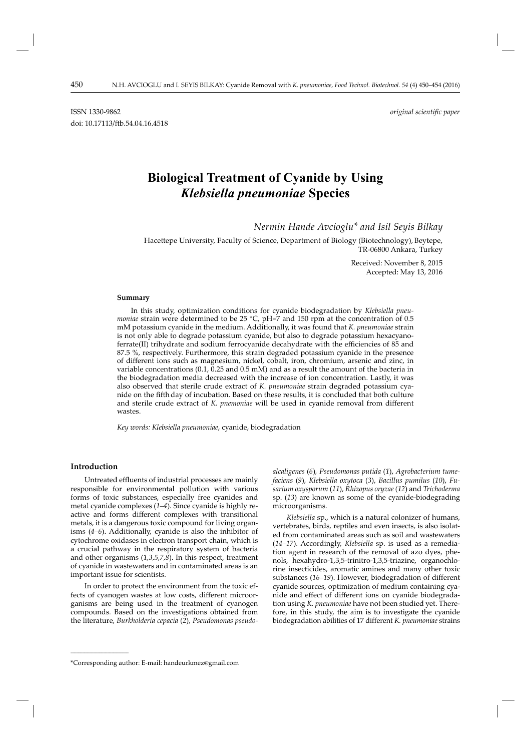# **Biological Treatment of Cyanide by Using** *Klebsiella pneumoniae* **Species**

 *Nermin Hande Avcioglu\* and Isil Seyis Bilkay*

Hacettepe University, Faculty of Science, Department of Biology (Biotechnology), Beytepe, TR-06800 Ankara, Turkey

> Received: November 8, 2015 Accepted: May 13, 2016

#### **Summary**

In this study, optimization conditions for cyanide biodegradation by *Klebsiella pneumoniae* strain were determined to be 25 °C, pH=7 and 150 rpm at the concentration of 0.5 mM potassium cyanide in the medium. Additionally, it was found that *K. pneumoniae* strain is not only able to degrade potassium cyanide, but also to degrade potassium hexacyanoferrate(II) trihydrate and sodium ferrocyanide decahydrate with the efficiencies of  $85$  and 87.5 %, respectively. Furthermore, this strain degraded potassium cyanide in the presence of diff erent ions such as magnesium, nickel, cobalt, iron, chromium, arsenic and zinc, in variable concentrations (0.1,  $\widetilde{0}$ .25 and 0.5 mM) and as a result the amount of the bacteria in the biodegradation media decreased with the increase of ion concentration. Lastly, it was also observed that sterile crude extract of *K. pneumoniae* strain degraded potassium cyanide on the fifth day of incubation. Based on these results, it is concluded that both culture and sterile crude extract of *K. pnemoniae* will be used in cyanide removal from different wastes.

*Key words: Klebsiella pneumoniae*, cyanide, biodegradation

# **Introduction**

**\_\_\_\_\_\_\_\_\_\_\_\_\_\_\_\_\_\_\_\_\_\_\_\_\_\_\_\_\_\_**

Untreated effluents of industrial processes are mainly responsible for environmental pollution with various forms of toxic substances, especially free cyanides and metal cyanide complexes (*1–4*). Since cyanide is highly reactive and forms different complexes with transitional metals, it is a dangerous toxic compound for living organisms (*4–6*). Additionally, cyanide is also the inhibitor of cytochrome oxidases in electron transport chain, which is a crucial pathway in the respiratory system of bacteria and other organisms (*1,3,5,7,8*). In this respect, treatment of cyanide in wastewaters and in contaminated areas is an important issue for scientists.

In order to protect the environment from the toxic effects of cyanogen wastes at low costs, different microorganisms are being used in the treatment of cyanogen compounds. Based on the investigations obtained from the literature, *Burkholderia cepacia* (*2*), *Pseudo monas pseudo-* *alcaligenes* (*6*)*, Pseudomonas putida* (*1*), *Agrobac terium tumefaciens* (*9*), *Klebsiella oxytoca* (*3*), *Bacillus pumilus* (*10*), *Fusarium oxysporum* (*11*), *Rhizopus oryzae* (*12*) and *Trichoderma*  sp. (*13*) are known as some of the cyanide-biodegrading microorganisms.

*Klebsiella* sp., which is a natural colonizer of humans, vertebrates, birds, reptiles and even insects, is also isolated from contaminated areas such as soil and wastewaters (*14–17*). Accordingly, *Klebsiella* sp. is used as a remediation agent in research of the removal of azo dyes, phenols, hexahydro-1,3,5-trinitro-1,3,5-triazine, organochlorine insecticides, aromatic amines and many other toxic substances (16–19). However, biodegradation of different cyanide sources, optimization of medium containing cyanide and effect of different ions on cyanide biodegradation using *K. pneumoniae* have not been studied yet. Therefore, in this study, the aim is to investigate the cyanide biodegradation abilities of 17 different *K. pneumoniae* strains

<sup>\*</sup>Corresponding author: E-mail: handeurkmez@gmail.com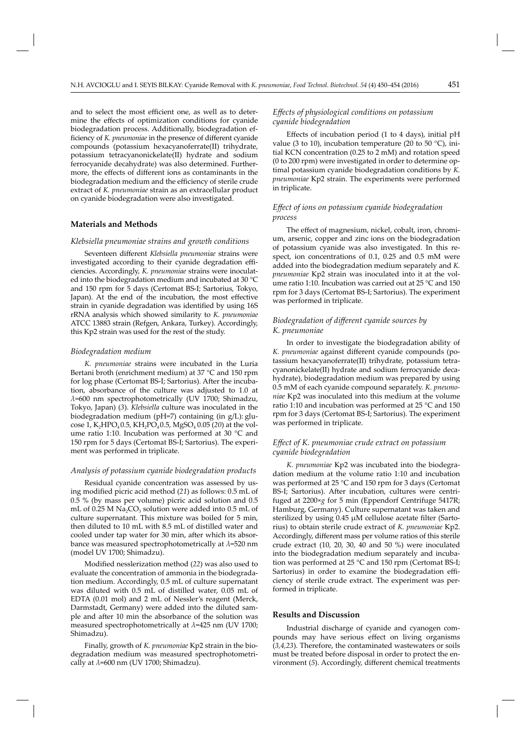and to select the most efficient one, as well as to determine the effects of optimization conditions for cyanide biodegradation process. Additionally, biodegradation efficiency of *K. pneumoniae* in the presence of different cyanide compounds (potassium hexacyanoferrate(II) trihydrate, potassium tetracyanonickelate(II) hydrate and sodium ferrocyanide decahydrate) was also determined. Furthermore, the effects of different ions as contaminants in the biodegradation medium and the efficiency of sterile crude extract of *K. pneumoniae* strain as an extracellular product on cyanide biodegradation were also investigated.

### **Materials and Methods**

## *Klebsiella pneumoniae strains and growth conditions*

Seventeen different *Klebsiella pneumoniae* strains were investigated according to their cyanide degradation efficiencies. Accordingly, *K. pneumoniae* strains were inoculated into the biodegradation medium and incubated at 30 °C and 150 rpm for 5 days (Certomat BS-I; Sartorius, Tokyo, Japan). At the end of the incubation, the most effective strain in cyanide degradation was identified by using 16S rRNA analysis which showed similarity to *K. pneumoniae*  ATCC 13883 strain (Refgen, Ankara, Turkey). Accordingly, this Kp2 strain was used for the rest of the study.

### *Biodegradation medium*

*K. pneumoniae* strains were incubated in the Luria Bertani broth (enrichment medium) at 37 °C and 150 rpm for log phase (Certomat BS-I; Sartorius). After the incubation, absorbance of the culture was adjusted to 1.0 at *λ*=600 nm spectrophotometrically (UV 1700; Shimadzu, Tokyo, Japan) (*3*). *Klebsiella* culture was inoculated in the biodegradation medium (pH=7) containing (in g/L): glucose 1, K<sub>2</sub>HPO<sub>4</sub> 0.5, KH<sub>2</sub>PO<sub>4</sub> 0.5, MgSO<sub>4</sub> 0.05 (20) at the volume ratio 1:10. Incubation was performed at 30 °C and 150 rpm for 5 days (Certomat BS-I; Sartorius). The experiment was performed in triplicate.

# *Analysis of potassium cyanide biodegradation products*

Residual cyanide concentration was assessed by using modified picric acid method (21) as follows:  $0.5$  mL of 0.5 % (by mass per volume) picric acid solution and 0.5 mL of  $0.25$  M Na<sub>2</sub>CO<sub>3</sub> solution were added into  $0.5$  mL of culture supernatant. This mixture was boiled for 5 min, then diluted to 10 mL with 8.5 mL of distilled water and cooled under tap water for 30 min, after which its absorbance was measured spectrophotometrically at *λ*=520 nm (model UV 1700; Shimadzu).

Modified nesslerization method (22) was also used to evaluate the concentration of ammonia in the biodegradation medium. Accordingly, 0.5 mL of culture supernatant was diluted with 0.5 mL of distilled water, 0.05 mL of EDTA (0.01 mol) and 2 mL of Nessler's reagent (Merck, Darmstadt, Germany) were added into the diluted sample and after 10 min the absorbance of the solution was measured spectrophotometrically at *λ*=425 nm (UV 1700; Shimadzu).

Finally, growth of *K. pneumoniae* Kp2 strain in the biodegradation medium was measured spectrophotometrically at *λ*=600 nm (UV 1700; Shimadzu).

## *Eff ects of physiological conditions on potassium cyanide biodegradation*

Effects of incubation period  $(1 \text{ to } 4 \text{ days})$ , initial pH value (3 to 10), incubation temperature (20 to 50  $^{\circ}$ C), initial KCN concentration (0.25 to 2 mM) and rotation speed (0 to 200 rpm) were investigated in order to determine optimal potassium cyanide biodegradation conditions by *K. pneumoniae* Kp2 strain. The experiments were performed in triplicate.

## *Eff ect of ions on potassium cyanide biodegradation process*

The effect of magnesium, nickel, cobalt, iron, chromium, arsenic, copper and zinc ions on the biodegradation of potassium cyanide was also investigated. In this respect, ion concentrations of 0.1, 0.25 and 0.5 mM were added into the biodegradation medium separately and *K. pneumoniae* Kp2 strain was inoculated into it at the volume ratio 1:10. Incubation was carried out at 25 °C and 150 rpm for 3 days (Certomat BS-I; Sartorius). The experiment was performed in triplicate.

# *Biodegradation of diff erent cyanide sources by K. pneumoniae*

In order to investigate the biodegradation ability of K. pneumoniae against different cyanide compounds (potassium hexacyanoferrate(II) trihydrate, potassium tetracyanonickelate(II) hydrate and sodium ferrocyanide decahydrate), biodegradation medium was prepared by using 0.5 mM of each cyanide compound separately. *K. pneumoniae* Kp2 was inoculated into this medium at the volume ratio 1:10 and incubation was performed at 25 °C and 150 rpm for 3 days (Certomat BS-I; Sartorius). The experiment was performed in triplicate.

# *Eff ect of K. pneumoniae crude extract on potassium cyanide biodegradation*

*K. pneumoniae* Kp2 was incubated into the biodegradation medium at the volume ratio 1:10 and incubation was performed at 25 °C and 150 rpm for 3 days (Certomat BS-I; Sartorius). After incubation, cultures were centrifuged at 2200×*g* for 5 min (Eppendorf Centrifuge 5417R; Hamburg, Germany). Culture supernatant was taken and sterilized by using  $0.45 \mu M$  cellulose acetate filter (Sartorius) to obtain sterile crude extract of *K. pneumoniae* Kp2. Accordingly, different mass per volume ratios of this sterile crude extract (10, 20, 30, 40 and 50 %) were inoculated into the biodegradation medium separately and incubation was performed at 25 °C and 150 rpm (Certomat BS-I; Sartorius) in order to examine the biodegradation efficiency of sterile crude extract. The experiment was performed in triplicate.

#### **Results and Discussion**

Industrial discharge of cyanide and cyanogen compounds may have serious effect on living organisms (*3,4,23*). Therefore, the contaminated wastewaters or soils must be treated before disposal in order to protect the environment (5). Accordingly, different chemical treatments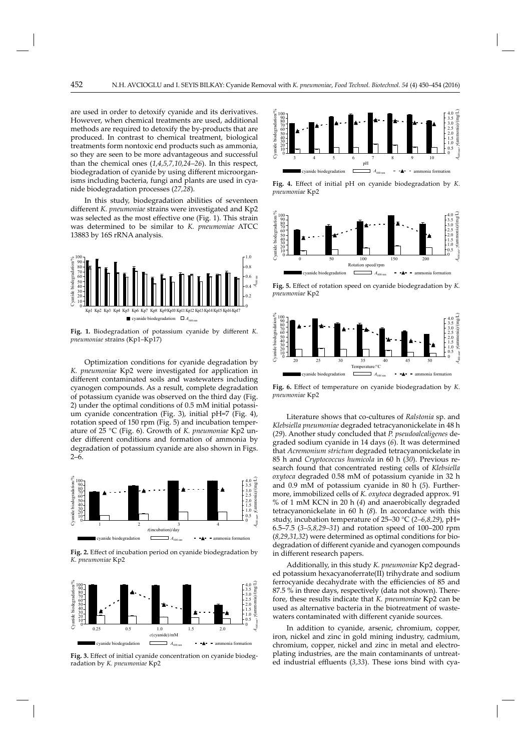are used in order to detoxify cyanide and its derivatives. However, when chemical treatments are used, additional methods are required to detoxify the by-products that are produced. In contrast to chemical treatment, biological treatments form nontoxic end products such as ammonia, so they are seen to be more advantageous and successful than the chemical ones (*1,4,5,7,10,24–26*). In this respect, biodegradation of cyanide by using different microorganisms including bacteria, fungi and plants are used in cyanide biodegradation processes (*27,28*).

In this study, biodegradation abilities of seventeen different *K. pneumoniae* strains were investigated and Kp2 was selected as the most effective one (Fig. 1). This strain was determined to be similar to *K. pneumoniae* ATCC 13883 by 16S rRNA analysis.



Fig. 1. Biodegradation of potassium cyanide by different *K*. *pneumoniae* strains (Kp1–Kp17)

Optimization conditions for cyanide degradation by *K. pneumoniae* Kp2 were investigated for application in different contaminated soils and wastewaters including cyanogen compounds. As a result, complete degradation of potassium cyanide was observed on the third day (Fig. 2) under the optimal conditions of 0.5 mM initial potassium cyanide concentration (Fig. 3), initial pH=7 (Fig. 4), rotation speed of 150 rpm (Fig. 5) and incubation temperature of 25 °C (Fig. 6). Growth of *K. pneumoniae* Kp2 under different conditions and formation of ammonia by degradation of potassium cyanide are also shown in Figs. 2–6.



Fig. 2. Effect of incubation period on cyanide biodegradation by *K. pneumoniae* Kp2



Fig. 3. Effect of initial cyanide concentration on cyanide biodegradation by *K. pneumoniae* Kp2



Fig. 4. Effect of initial pH on cyanide biodegradation by *K*. *pneumoniae* Kp2



Fig. 5. Effect of rotation speed on cyanide biodegradation by *K*. *pneumoniae* Kp2



Fig. 6. Effect of temperature on cyanide biodegradation by *K*. *pneumoniae* Kp2

Literature shows that co-cultures of *Ralstonia* sp. and *Klebsiella pneumoniae* degraded tetracyanonickelate in 48 h (*29*). Another study concluded that *P. pseudoalcaligenes* degraded sodium cyanide in 14 days (*6*). It was determined that *Acremonium strictum* degraded tetracyanonickelate in 85 h and *Cryptococcus humicola* in 60 h (*30*). Previous research found that concentrated resting cells of *Klebsiella oxytoca* degraded 0.58 mM of potassium cyanide in 32 h and 0.9 mM of potassium cyanide in 80 h (*5*). Furthermore, immobilized cells of *K. oxytoca* degraded approx. 91 % of 1 mM KCN in 20 h (*4*) and anaerobically degraded tetracyanonickelate in 60 h (*8*). In accordance with this study, incubation temperature of 25–30 °C (*2–6,8,29*), pH= 6.5–7.5 (*3–5,8,29–31*) and rotation speed of 100–200 rpm (*8,29,31,32*) were determined as optimal conditions for biodegradation of different cyanide and cyanogen compounds in different research papers.

Additionally, in this study *K. pneumoniae* Kp2 degraded potassium hexacyanoferrate(II) trihydrate and sodium ferrocyanide decahydrate with the efficiencies of 85 and 87.5 % in three days, respectively (data not shown). Therefore, these results indicate that *K. pneumoniae* Kp2 can be used as alternative bacteria in the biotreatment of wastewaters contaminated with different cyanide sources.

In addition to cyanide, arsenic, chromium, copper, iron, nickel and zinc in gold mining industry, cadmium, chromium, copper, nickel and zinc in metal and electroplating industries, are the main contaminants of untreated industrial effluents (3,33). These ions bind with cya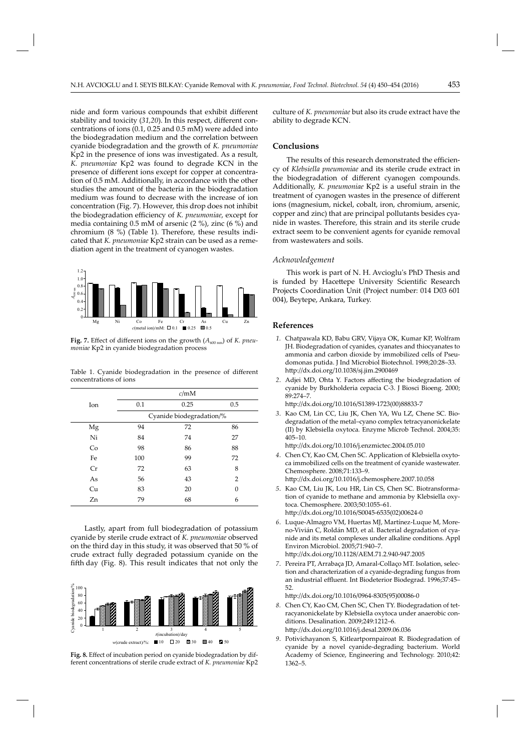nide and form various compounds that exhibit different stability and toxicity (31,20). In this respect, different concentrations of ions (0.1, 0.25 and 0.5 mM) were added into the biodegradation medium and the correlation between cyanide biodegradation and the growth of *K. pneumoniae*  Kp2 in the presence of ions was investigated. As a result, *K. pneumoniae* Kp2 was found to degrade KCN in the presence of different ions except for copper at concentration of 0.5 mM. Additionally, in accordance with the other studies the amount of the bacteria in the biodegradation medium was found to decrease with the increase of ion concentration (Fig. 7). However, this drop does not inhibit the biodegradation efficiency of *K. pneumoniae*, except for media containing 0.5 mM of arsenic (2 %), zinc (6 %) and chromium (8 %) (Table 1). Therefore, these results indicated that *K. pneumoniae* Kp2 strain can be used as a remediation agent in the treatment of cyanogen wastes.



Fig. 7. Effect of different ions on the growth  $(A_{600 \text{ nm}})$  of *K. pneumoniae* Kp2 in cyanide biodegradation process

Table 1. Cyanide biodegradation in the presence of different concentrations of ions

|     | c/mM                     |      |          |
|-----|--------------------------|------|----------|
| Ion | 0.1                      | 0.25 | 0.5      |
|     | Cyanide biodegradation/% |      |          |
| Mg  | 94                       | 72   | 86       |
| Ni  | 84                       | 74   | 27       |
| Co  | 98                       | 86   | 88       |
| Fe  | 100                      | 99   | 72       |
| Cr  | 72                       | 63   | 8        |
| As  | 56                       | 43   | 2        |
| Cu  | 83                       | 20   | $\Omega$ |
| Zn  | 79                       | 68   | 6        |

Lastly, apart from full biodegradation of potassium cyanide by sterile crude extract of *K. pneumoniae* observed on the third day in this study, it was observed that 50 % of crude extract fully degraded potassium cyanide on the fifth day (Fig. 8). This result indicates that not only the



Fig. 8. Effect of incubation period on cyanide biodegradation by different concentrations of sterile crude extract of *K. pneumoniae* Kp2 culture of *K. pneumoniae* but also its crude extract have the ability to degrade KCN.

### **Conclusions**

The results of this research demonstrated the efficiency of *Klebsiella pneumoniae* and its sterile crude extract in the biodegradation of different cyanogen compounds. Additionally, *K. pneumoniae* Kp2 is a useful strain in the treatment of cyanogen wastes in the presence of different ions (magnesium, nickel, cobalt, iron, chromium, arsenic, copper and zinc) that are principal pollutants besides cyanide in wastes. Therefore, this strain and its sterile crude extract seem to be convenient agents for cyanide removal from wastewaters and soils.

#### *Acknowledgement*

This work is part of N. H. Avcioglu's PhD Thesis and is funded by Hacettepe University Scientific Research Projects Coordination Unit (Project number: 014 D03 601 004), Beytepe, Ankara, Turkey.

#### **References**

- 1. Chatpawala KD, Babu GRV, Vijaya OK, Kumar KP, Wolfram JH. Biodegradation of cyanides, cyanates and thiocyanates to ammonia and carbon dioxide by immobilized cells of Pseudomonas putida. J Ind Microbiol Biotechnol. 1998;20:28–33. htt p://dx.doi.org/10.1038/sj.jim.2900469
- 2. Adjei MD, Ohta Y. Factors affecting the biodegradation of cyanide by Burkholderia cepacia C-3. J Biosci Bioeng. 2000; 89:274–7.

http://dx.doi.org/10.1016/S1389-1723(00)88833-7

 *3*. Kao CM, Lin CC, Liu JK, Chen YA, Wu LZ, Chene SC. Biodegradation of the metal–cyano complex tetracyanonickelate (II) by Klebsiella oxytoca*.* Enzyme Microb Technol. 2004;35: 405–10.

http://dx.doi.org/10.1016/j.enzmictec.2004.05.010

 *4*. Chen CY, Kao CM, Chen SC. Application of Klebsiella oxytoca immobilized cells on the treatment of cyanide wastewater. Chemosphere. 2008;71:133–9.

http://dx.doi.org/10.1016/j.chemosphere.2007.10.058

- *5*. Kao CM, Liu JK, Lou HR, Lin CS, Chen SC. Biotransformation of cyanide to methane and ammonia by Klebsiella oxytoca. Chemosphere. 2003;50:1055–61. htt p://dx.doi.org/10.1016/S0045-6535(02)00624-0
- *6*. Luque-Almagro VM, Huertas MJ, Martínez-Luque M, Moreno-Vivián C, Roldán MD, et al. Bacterial degradation of cyanide and its metal complexes under alkaline conditions. Appl Environ Microbiol. 2005;71:940–7. http://dx.doi.org/10.1128/AEM.71.2.940-947.2005
- *7*. Pereira PT, Arrabaça JD, Amaral-Collaço MT. Isolation, selection and characterization of a cyanide-degrading fungus from an industrial effluent. Int Biodeterior Biodegrad. 1996;37:45-52.

http://dx.doi.org/10.1016/0964-8305(95)00086-0

- *8.* Chen CY, Kao CM, Chen SC, Chen TY. Biodegradation of tetracyanonickelate by Klebsiella oxytoca under anaerobic conditions. Desalination. 2009;249:1212–6. http://dx.doi.org/10.1016/j.desal.2009.06.036
- *9*. Potivichayanon S, Kitleartpornpairoat R. Biodegradation of cyanide by a novel cyanide-degrading bacterium. World Academy of Science, Engineering and Technology. 2010;42: 1362–5.